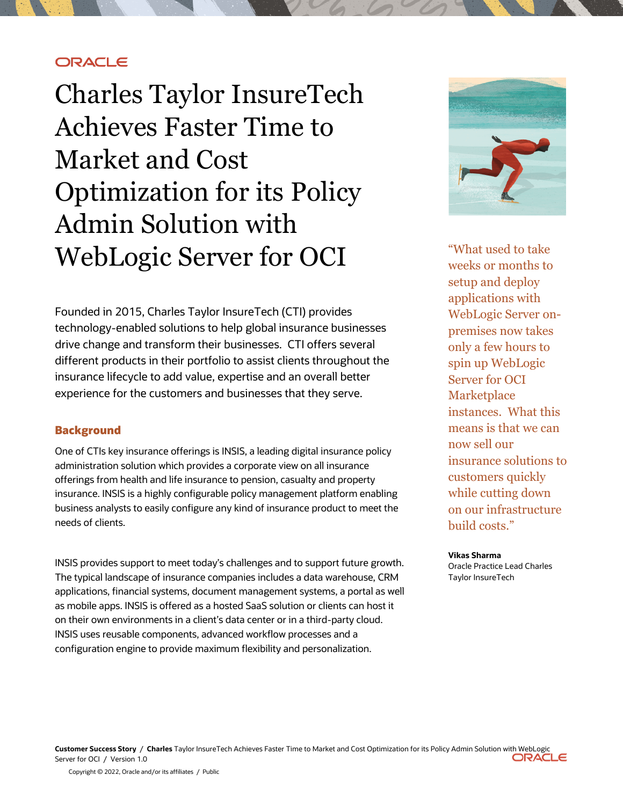# **ORACLE**

 Charles Taylor InsureTech Achieves Faster Time to Optimization for its Policy WebLogic Server for OCI Market and Cost Admin Solution with

 drive change and transform their businesses. CTI offers several insurance lifecycle to add value, expertise and an overall better Founded in 2015, Charles Taylor InsureTech (CTI) provides technology-enabled solutions to help global insurance businesses different products in their portfolio to assist clients throughout the experience for the customers and businesses that they serve.

## **Background**

 One of CTIs key insurance offerings is INSIS, a leading digital insurance policy administration solution which provides a corporate view on all insurance offerings from health and life insurance to pension, casualty and property business analysts to easily configure any kind of insurance product to meet the needs of clients. insurance. INSIS is a highly configurable policy management platform enabling

 INSIS provides support to meet today's challenges and to support future growth. The typical landscape of insurance companies includes a data warehouse, CRM applications, financial systems, document management systems, a portal as well as mobile apps. INSIS is offered as a hosted SaaS solution or clients can host it on their own environments in a client's data center or in a third-party cloud. INSIS uses reusable components, advanced workflow processes and a configuration engine to provide maximum flexibility and personalization.



 "What used to take weeks or months to WebLogic Server on- premises now takes only a few hours to spin up WebLogic Server for OCI instances. What this means is that we can customers quickly while cutting down on our infrastructure setup and deploy applications with **Marketplace** now sell our insurance solutions to build costs."

#### **Vikas Sharma**

 Oracle Practice Lead Charles Taylor InsureTech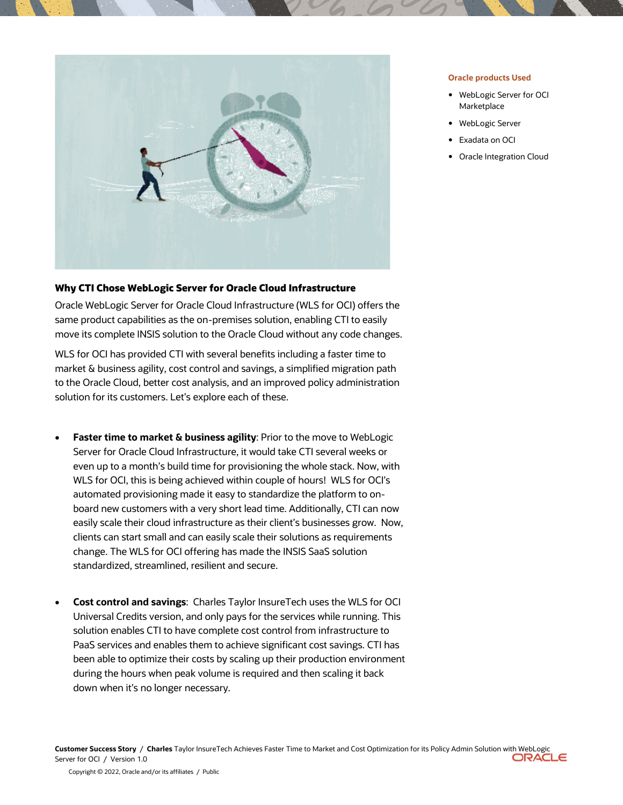

## **Why CTI Chose WebLogic Server for Oracle Cloud Infrastructure**

 Oracle WebLogic Server for Oracle Cloud Infrastructure (WLS for OCI) offers the same product capabilities as the on-premises solution, enabling CTI to easily move its complete INSIS solution to the Oracle Cloud without any code changes.

 WLS for OCI has provided CTI with several benefits including a faster time to market & business agility, cost control and savings, a simplified migration path to the Oracle Cloud, better cost analysis, and an improved policy administration solution for its customers. Let's explore each of these.

- **Faster time to market & business agility**: Prior to the move to WebLogic Server for Oracle Cloud Infrastructure, it would take CTI several weeks or even up to a month's build time for provisioning the whole stack. Now, with WLS for OCI, this is being achieved within couple of hours! WLS for OCI's automated provisioning made it easy to standardize the platform to on- board new customers with a very short lead time. Additionally, CTI can now easily scale their cloud infrastructure as their client's businesses grow. Now, clients can start small and can easily scale their solutions as requirements change. The WLS for OCI offering has made the INSIS SaaS solution standardized, streamlined, resilient and secure.
- • **Cost control and savings**: Charles Taylor InsureTech uses the WLS for OCI Universal Credits version, and only pays for the services while running. This solution enables CTI to have complete cost control from infrastructure to PaaS services and enables them to achieve significant cost savings. CTI has been able to optimize their costs by scaling up their production environment during the hours when peak volume is required and then scaling it back down when it's no longer necessary.

### **Oracle products Used**

- • WebLogic Server for OCI Marketplace
- WebLogic Server
- Exadata on OCI
- Oracle Integration Cloud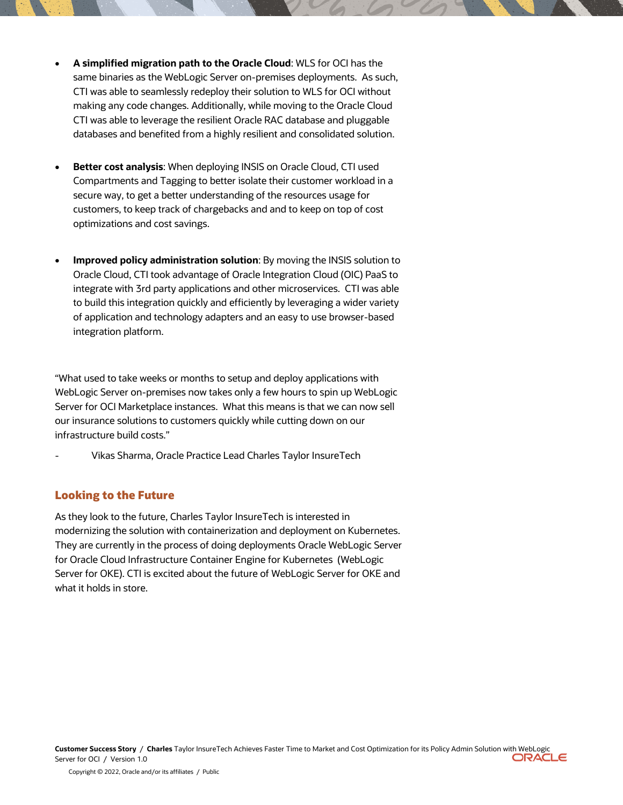- **A simplified migration path to the Oracle Cloud**: WLS for OCI has the same binaries as the WebLogic Server on-premises deployments. As such, CTI was able to seamlessly redeploy their solution to WLS for OCI without making any code changes. Additionally, while moving to the Oracle Cloud CTI was able to leverage the resilient Oracle RAC database and pluggable databases and benefited from a highly resilient and consolidated solution.
- • **Better cost analysis**: When deploying INSIS on Oracle Cloud, CTI used Compartments and Tagging to better isolate their customer workload in a secure way, to get a better understanding of the resources usage for customers, to keep track of chargebacks and and to keep on top of cost optimizations and cost savings.
- • **Improved policy administration solution**: By moving the INSIS solution to Oracle Cloud, CTI took advantage of Oracle Integration Cloud (OIC) PaaS to integrate with 3rd party applications and other microservices. CTI was able to build this integration quickly and efficiently by leveraging a wider variety of application and technology adapters and an easy to use browser-based integration platform.

 "What used to take weeks or months to setup and deploy applications with WebLogic Server on-premises now takes only a few hours to spin up WebLogic Server for OCI Marketplace instances. What this means is that we can now sell our insurance solutions to customers quickly while cutting down on our infrastructure build costs."

- Vikas Sharma, Oracle Practice Lead Charles Taylor InsureTech

## **Looking to the Future**

 As they look to the future, Charles Taylor InsureTech is interested in modernizing the solution with containerization and deployment on Kubernetes. They are currently in the process of doing deployments Oracle WebLogic Server for Oracle Cloud Infrastructure Container Engine for Kubernetes (WebLogic Server for OKE). CTI is excited about the future of WebLogic Server for OKE and what it holds in store.